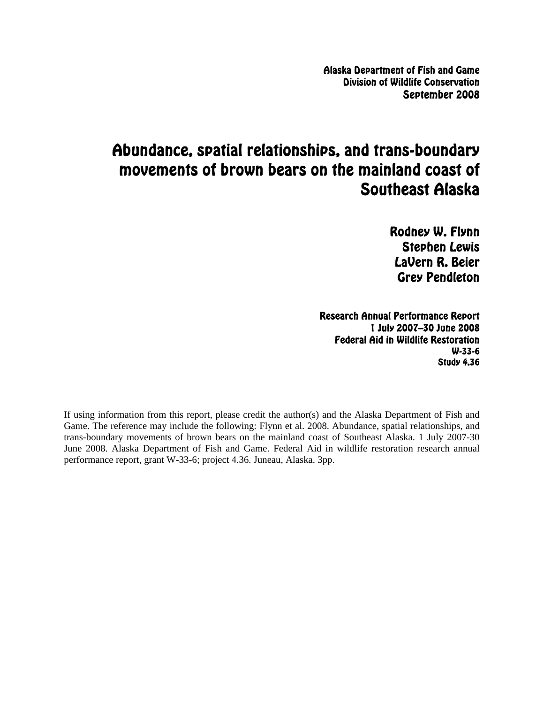Alaska Department of Fish and Game Division of Wildlife Conservation September 2008

# Abundance, spatial relationships, and trans-boundary movements of brown bears on the mainland coast of Southeast Alaska

Rodney W. Flynn Stephen Lewis LaVern R. Beier Grey Pendleton

Research Annual Performance Report 1 July 2007–30 June 2008 Federal Aid in Wildlife Restoration W-33-6 Study 4.36

If using information from this report, please credit the author(s) and the Alaska Department of Fish and Game. The reference may include the following: Flynn et al. 2008. Abundance, spatial relationships, and trans-boundary movements of brown bears on the mainland coast of Southeast Alaska. 1 July 2007-30 June 2008. Alaska Department of Fish and Game. Federal Aid in wildlife restoration research annual performance report, grant W-33-6; project 4.36. Juneau, Alaska. 3pp.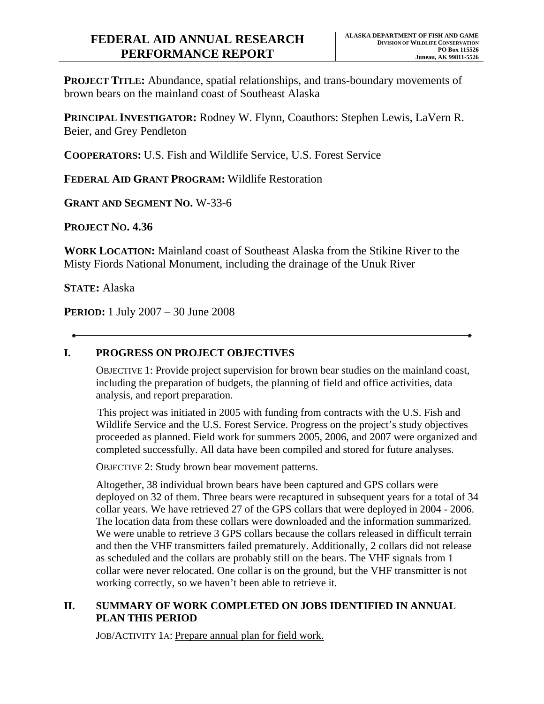**PROJECT TITLE:** Abundance, spatial relationships, and trans-boundary movements of brown bears on the mainland coast of Southeast Alaska

**PRINCIPAL INVESTIGATOR:** Rodney W. Flynn, Coauthors: Stephen Lewis, LaVern R. Beier, and Grey Pendleton

**COOPERATORS:** U.S. Fish and Wildlife Service, U.S. Forest Service

**FEDERAL AID GRANT PROGRAM:** Wildlife Restoration

**GRANT AND SEGMENT NO.** W-33-6

**PROJECT NO. 4.36**

**WORK LOCATION:** Mainland coast of Southeast Alaska from the Stikine River to the Misty Fiords National Monument, including the drainage of the Unuk River

**STATE:** Alaska

**PERIOD:** 1 July 2007 – 30 June 2008

## **I. PROGRESS ON PROJECT OBJECTIVES**

OBJECTIVE 1: Provide project supervision for brown bear studies on the mainland coast, including the preparation of budgets, the planning of field and office activities, data analysis, and report preparation.

This project was initiated in 2005 with funding from contracts with the U.S. Fish and Wildlife Service and the U.S. Forest Service. Progress on the project's study objectives proceeded as planned. Field work for summers 2005, 2006, and 2007 were organized and completed successfully. All data have been compiled and stored for future analyses.

OBJECTIVE 2: Study brown bear movement patterns.

Altogether, 38 individual brown bears have been captured and GPS collars were deployed on 32 of them. Three bears were recaptured in subsequent years for a total of 34 collar years. We have retrieved 27 of the GPS collars that were deployed in 2004 - 2006. The location data from these collars were downloaded and the information summarized. We were unable to retrieve 3 GPS collars because the collars released in difficult terrain and then the VHF transmitters failed prematurely. Additionally, 2 collars did not release as scheduled and the collars are probably still on the bears. The VHF signals from 1 collar were never relocated. One collar is on the ground, but the VHF transmitter is not working correctly, so we haven't been able to retrieve it.

#### **II. SUMMARY OF WORK COMPLETED ON JOBS IDENTIFIED IN ANNUAL PLAN THIS PERIOD**

JOB/ACTIVITY 1A: Prepare annual plan for field work.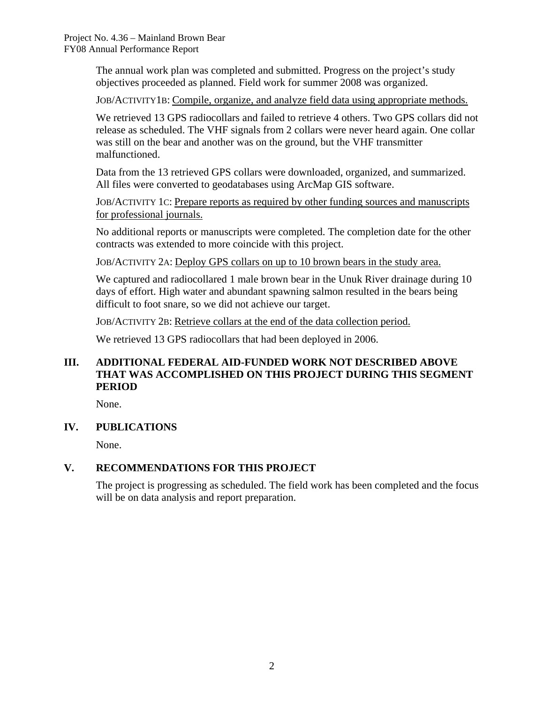The annual work plan was completed and submitted. Progress on the project's study objectives proceeded as planned. Field work for summer 2008 was organized.

JOB/ACTIVITY1B: Compile, organize, and analyze field data using appropriate methods.

We retrieved 13 GPS radiocollars and failed to retrieve 4 others. Two GPS collars did not release as scheduled. The VHF signals from 2 collars were never heard again. One collar was still on the bear and another was on the ground, but the VHF transmitter malfunctioned.

Data from the 13 retrieved GPS collars were downloaded, organized, and summarized. All files were converted to geodatabases using ArcMap GIS software.

JOB/ACTIVITY 1C: Prepare reports as required by other funding sources and manuscripts for professional journals.

No additional reports or manuscripts were completed. The completion date for the other contracts was extended to more coincide with this project.

JOB/ACTIVITY 2A: Deploy GPS collars on up to 10 brown bears in the study area.

We captured and radiocollared 1 male brown bear in the Unuk River drainage during 10 days of effort. High water and abundant spawning salmon resulted in the bears being difficult to foot snare, so we did not achieve our target.

JOB/ACTIVITY 2B: Retrieve collars at the end of the data collection period.

We retrieved 13 GPS radiocollars that had been deployed in 2006.

## **III. ADDITIONAL FEDERAL AID-FUNDED WORK NOT DESCRIBED ABOVE THAT WAS ACCOMPLISHED ON THIS PROJECT DURING THIS SEGMENT PERIOD**

None.

#### **IV. PUBLICATIONS**

None.

## **V. RECOMMENDATIONS FOR THIS PROJECT**

The project is progressing as scheduled. The field work has been completed and the focus will be on data analysis and report preparation.